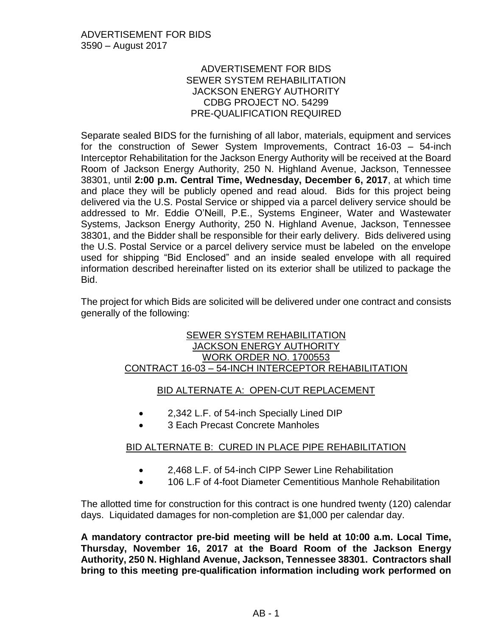### ADVERTISEMENT FOR BIDS SEWER SYSTEM REHABILITATION JACKSON ENERGY AUTHORITY CDBG PROJECT NO. 54299 PRE-QUALIFICATION REQUIRED

Separate sealed BIDS for the furnishing of all labor, materials, equipment and services for the construction of Sewer System Improvements, Contract 16-03 – 54-inch Interceptor Rehabilitation for the Jackson Energy Authority will be received at the Board Room of Jackson Energy Authority, 250 N. Highland Avenue, Jackson, Tennessee 38301, until **2:00 p.m. Central Time, Wednesday, December 6, 2017**, at which time and place they will be publicly opened and read aloud. Bids for this project being delivered via the U.S. Postal Service or shipped via a parcel delivery service should be addressed to Mr. Eddie O'Neill, P.E., Systems Engineer, Water and Wastewater Systems, Jackson Energy Authority, 250 N. Highland Avenue, Jackson, Tennessee 38301, and the Bidder shall be responsible for their early delivery. Bids delivered using the U.S. Postal Service or a parcel delivery service must be labeled on the envelope used for shipping "Bid Enclosed" and an inside sealed envelope with all required information described hereinafter listed on its exterior shall be utilized to package the Bid.

The project for which Bids are solicited will be delivered under one contract and consists generally of the following:

#### SEWER SYSTEM REHABILITATION JACKSON ENERGY AUTHORITY WORK ORDER NO. 1700553 CONTRACT 16-03 – 54-INCH INTERCEPTOR REHABILITATION

# BID ALTERNATE A: OPEN-CUT REPLACEMENT

- 2,342 L.F. of 54-inch Specially Lined DIP
- 3 Each Precast Concrete Manholes

# BID ALTERNATE B: CURED IN PLACE PIPE REHABILITATION

- 2,468 L.F. of 54-inch CIPP Sewer Line Rehabilitation
- 106 L.F of 4-foot Diameter Cementitious Manhole Rehabilitation

The allotted time for construction for this contract is one hundred twenty (120) calendar days. Liquidated damages for non-completion are \$1,000 per calendar day.

**A mandatory contractor pre-bid meeting will be held at 10:00 a.m. Local Time, Thursday, November 16, 2017 at the Board Room of the Jackson Energy Authority, 250 N. Highland Avenue, Jackson, Tennessee 38301. Contractors shall bring to this meeting pre-qualification information including work performed on**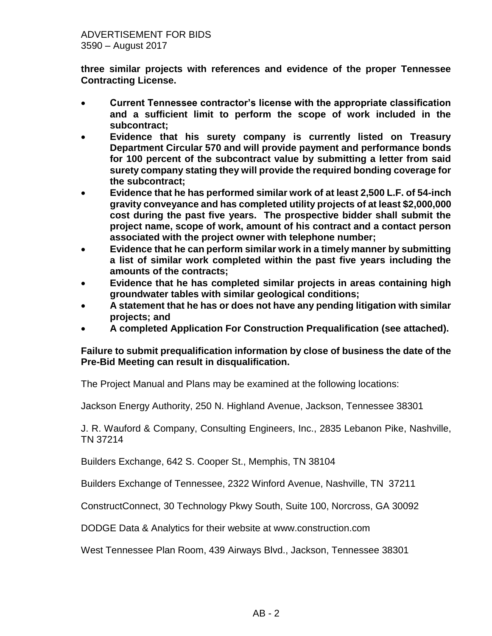**three similar projects with references and evidence of the proper Tennessee Contracting License.** 

- **Current Tennessee contractor's license with the appropriate classification and a sufficient limit to perform the scope of work included in the subcontract;**
- **Evidence that his surety company is currently listed on Treasury Department Circular 570 and will provide payment and performance bonds for 100 percent of the subcontract value by submitting a letter from said surety company stating they will provide the required bonding coverage for the subcontract;**
- **Evidence that he has performed similar work of at least 2,500 L.F. of 54-inch gravity conveyance and has completed utility projects of at least \$2,000,000 cost during the past five years. The prospective bidder shall submit the project name, scope of work, amount of his contract and a contact person associated with the project owner with telephone number;**
- **Evidence that he can perform similar work in a timely manner by submitting a list of similar work completed within the past five years including the amounts of the contracts;**
- **Evidence that he has completed similar projects in areas containing high groundwater tables with similar geological conditions;**
- **A statement that he has or does not have any pending litigation with similar projects; and**
- **A completed Application For Construction Prequalification (see attached).**

### **Failure to submit prequalification information by close of business the date of the Pre-Bid Meeting can result in disqualification.**

The Project Manual and Plans may be examined at the following locations:

Jackson Energy Authority, 250 N. Highland Avenue, Jackson, Tennessee 38301

J. R. Wauford & Company, Consulting Engineers, Inc., 2835 Lebanon Pike, Nashville, TN 37214

Builders Exchange, 642 S. Cooper St., Memphis, TN 38104

Builders Exchange of Tennessee, 2322 Winford Avenue, Nashville, TN 37211

ConstructConnect, 30 Technology Pkwy South, Suite 100, Norcross, GA 30092

DODGE Data & Analytics for their website at www.construction.com

West Tennessee Plan Room, 439 Airways Blvd., Jackson, Tennessee 38301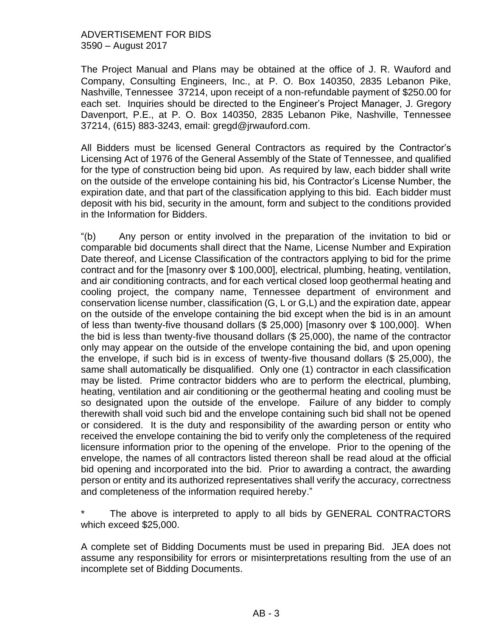### ADVERTISEMENT FOR BIDS 3590 – August 2017

The Project Manual and Plans may be obtained at the office of J. R. Wauford and Company, Consulting Engineers, Inc., at P. O. Box 140350, 2835 Lebanon Pike, Nashville, Tennessee 37214, upon receipt of a non-refundable payment of \$250.00 for each set. Inquiries should be directed to the Engineer's Project Manager, J. Gregory Davenport, P.E., at P. O. Box 140350, 2835 Lebanon Pike, Nashville, Tennessee 37214, (615) 883-3243, email: gregd@jrwauford.com.

All Bidders must be licensed General Contractors as required by the Contractor's Licensing Act of 1976 of the General Assembly of the State of Tennessee, and qualified for the type of construction being bid upon. As required by law, each bidder shall write on the outside of the envelope containing his bid, his Contractor's License Number, the expiration date, and that part of the classification applying to this bid. Each bidder must deposit with his bid, security in the amount, form and subject to the conditions provided in the Information for Bidders.

"(b) Any person or entity involved in the preparation of the invitation to bid or comparable bid documents shall direct that the Name, License Number and Expiration Date thereof, and License Classification of the contractors applying to bid for the prime contract and for the [masonry over \$ 100,000], electrical, plumbing, heating, ventilation, and air conditioning contracts, and for each vertical closed loop geothermal heating and cooling project, the company name, Tennessee department of environment and conservation license number, classification (G, L or G,L) and the expiration date, appear on the outside of the envelope containing the bid except when the bid is in an amount of less than twenty-five thousand dollars (\$ 25,000) [masonry over \$ 100,000]. When the bid is less than twenty-five thousand dollars (\$ 25,000), the name of the contractor only may appear on the outside of the envelope containing the bid, and upon opening the envelope, if such bid is in excess of twenty-five thousand dollars (\$ 25,000), the same shall automatically be disqualified. Only one (1) contractor in each classification may be listed. Prime contractor bidders who are to perform the electrical, plumbing, heating, ventilation and air conditioning or the geothermal heating and cooling must be so designated upon the outside of the envelope. Failure of any bidder to comply therewith shall void such bid and the envelope containing such bid shall not be opened or considered. It is the duty and responsibility of the awarding person or entity who received the envelope containing the bid to verify only the completeness of the required licensure information prior to the opening of the envelope. Prior to the opening of the envelope, the names of all contractors listed thereon shall be read aloud at the official bid opening and incorporated into the bid. Prior to awarding a contract, the awarding person or entity and its authorized representatives shall verify the accuracy, correctness and completeness of the information required hereby."

The above is interpreted to apply to all bids by GENERAL CONTRACTORS which exceed \$25,000.

A complete set of Bidding Documents must be used in preparing Bid. JEA does not assume any responsibility for errors or misinterpretations resulting from the use of an incomplete set of Bidding Documents.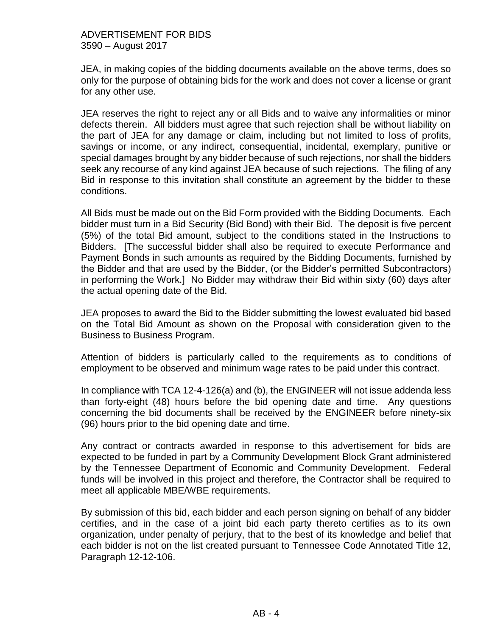JEA, in making copies of the bidding documents available on the above terms, does so only for the purpose of obtaining bids for the work and does not cover a license or grant for any other use.

JEA reserves the right to reject any or all Bids and to waive any informalities or minor defects therein. All bidders must agree that such rejection shall be without liability on the part of JEA for any damage or claim, including but not limited to loss of profits, savings or income, or any indirect, consequential, incidental, exemplary, punitive or special damages brought by any bidder because of such rejections, nor shall the bidders seek any recourse of any kind against JEA because of such rejections. The filing of any Bid in response to this invitation shall constitute an agreement by the bidder to these conditions.

All Bids must be made out on the Bid Form provided with the Bidding Documents. Each bidder must turn in a Bid Security (Bid Bond) with their Bid. The deposit is five percent (5%) of the total Bid amount, subject to the conditions stated in the Instructions to Bidders. [The successful bidder shall also be required to execute Performance and Payment Bonds in such amounts as required by the Bidding Documents, furnished by the Bidder and that are used by the Bidder, (or the Bidder's permitted Subcontractors) in performing the Work.] No Bidder may withdraw their Bid within sixty (60) days after the actual opening date of the Bid.

JEA proposes to award the Bid to the Bidder submitting the lowest evaluated bid based on the Total Bid Amount as shown on the Proposal with consideration given to the Business to Business Program.

Attention of bidders is particularly called to the requirements as to conditions of employment to be observed and minimum wage rates to be paid under this contract.

In compliance with TCA 12-4-126(a) and (b), the ENGINEER will not issue addenda less than forty-eight (48) hours before the bid opening date and time. Any questions concerning the bid documents shall be received by the ENGINEER before ninety-six (96) hours prior to the bid opening date and time.

Any contract or contracts awarded in response to this advertisement for bids are expected to be funded in part by a Community Development Block Grant administered by the Tennessee Department of Economic and Community Development. Federal funds will be involved in this project and therefore, the Contractor shall be required to meet all applicable MBE/WBE requirements.

By submission of this bid, each bidder and each person signing on behalf of any bidder certifies, and in the case of a joint bid each party thereto certifies as to its own organization, under penalty of perjury, that to the best of its knowledge and belief that each bidder is not on the list created pursuant to Tennessee Code Annotated Title 12, Paragraph 12-12-106.